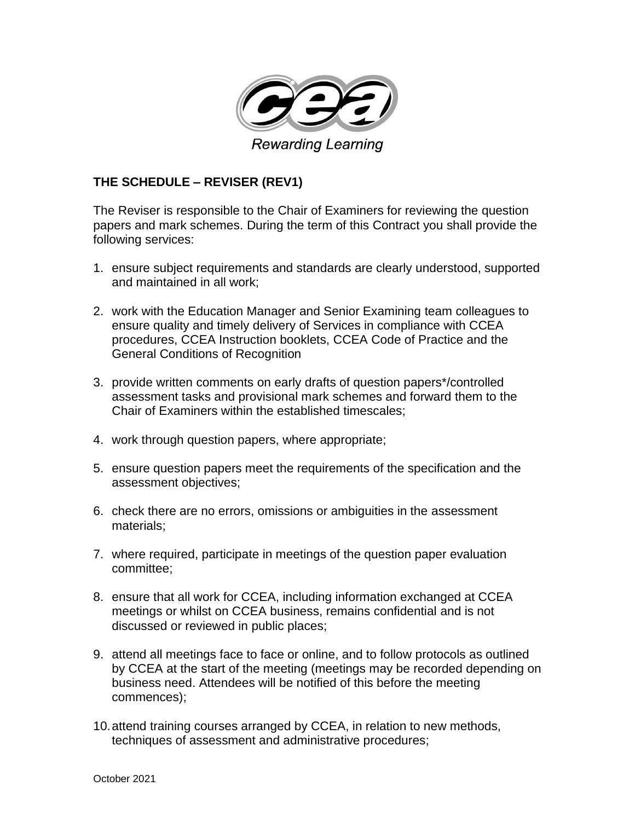

## **THE SCHEDULE – REVISER (REV1)**

The Reviser is responsible to the Chair of Examiners for reviewing the question papers and mark schemes. During the term of this Contract you shall provide the following services:

- 1. ensure subject requirements and standards are clearly understood, supported and maintained in all work;
- 2. work with the Education Manager and Senior Examining team colleagues to ensure quality and timely delivery of Services in compliance with CCEA procedures, CCEA Instruction booklets, CCEA Code of Practice and the General Conditions of Recognition
- 3. provide written comments on early drafts of question papers\*/controlled assessment tasks and provisional mark schemes and forward them to the Chair of Examiners within the established timescales;
- 4. work through question papers, where appropriate;
- 5. ensure question papers meet the requirements of the specification and the assessment objectives;
- 6. check there are no errors, omissions or ambiguities in the assessment materials;
- 7. where required, participate in meetings of the question paper evaluation committee;
- 8. ensure that all work for CCEA, including information exchanged at CCEA meetings or whilst on CCEA business, remains confidential and is not discussed or reviewed in public places;
- 9. attend all meetings face to face or online, and to follow protocols as outlined by CCEA at the start of the meeting (meetings may be recorded depending on business need. Attendees will be notified of this before the meeting commences);
- 10.attend training courses arranged by CCEA, in relation to new methods, techniques of assessment and administrative procedures;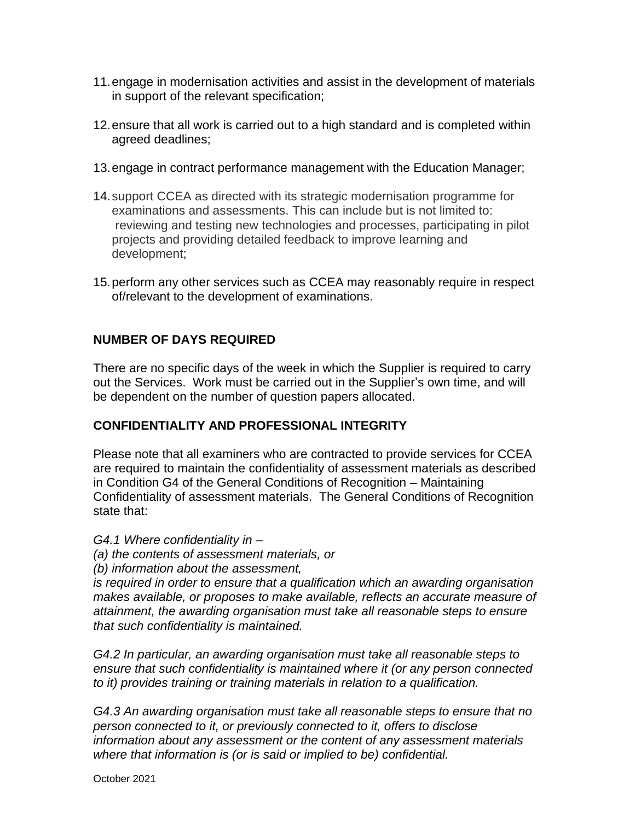- 11.engage in modernisation activities and assist in the development of materials in support of the relevant specification;
- 12.ensure that all work is carried out to a high standard and is completed within agreed deadlines;
- 13.engage in contract performance management with the Education Manager;
- 14.support CCEA as directed with its strategic modernisation programme for examinations and assessments. This can include but is not limited to: reviewing and testing new technologies and processes, participating in pilot projects and providing detailed feedback to improve learning and development;
- 15.perform any other services such as CCEA may reasonably require in respect of/relevant to the development of examinations.

## **NUMBER OF DAYS REQUIRED**

There are no specific days of the week in which the Supplier is required to carry out the Services. Work must be carried out in the Supplier's own time, and will be dependent on the number of question papers allocated.

## **CONFIDENTIALITY AND PROFESSIONAL INTEGRITY**

Please note that all examiners who are contracted to provide services for CCEA are required to maintain the confidentiality of assessment materials as described in Condition G4 of the General Conditions of Recognition – Maintaining Confidentiality of assessment materials. The General Conditions of Recognition state that:

*G4.1 Where confidentiality in –*

- *(a) the contents of assessment materials, or*
- *(b) information about the assessment,*

*is required in order to ensure that a qualification which an awarding organisation makes available, or proposes to make available, reflects an accurate measure of attainment, the awarding organisation must take all reasonable steps to ensure that such confidentiality is maintained.* 

*G4.2 In particular, an awarding organisation must take all reasonable steps to ensure that such confidentiality is maintained where it (or any person connected to it) provides training or training materials in relation to a qualification.* 

*G4.3 An awarding organisation must take all reasonable steps to ensure that no person connected to it, or previously connected to it, offers to disclose information about any assessment or the content of any assessment materials where that information is (or is said or implied to be) confidential.*